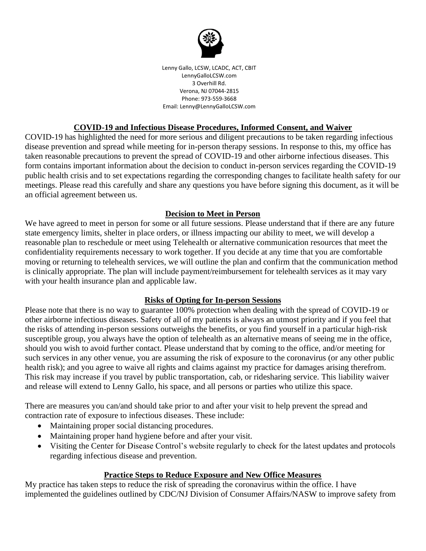

Lenny Gallo, LCSW, LCADC, ACT, CBIT LennyGalloLCSW.com 3 Overhill Rd. Verona, NJ 07044-2815 Phone: 973-559-3668 Email: Lenny@LennyGalloLCSW.com

#### **COVID-19 and Infectious Disease Procedures, Informed Consent, and Waiver**

COVID-19 has highlighted the need for more serious and diligent precautions to be taken regarding infectious disease prevention and spread while meeting for in-person therapy sessions. In response to this, my office has taken reasonable precautions to prevent the spread of COVID-19 and other airborne infectious diseases. This form contains important information about the decision to conduct in-person services regarding the COVID-19 public health crisis and to set expectations regarding the corresponding changes to facilitate health safety for our meetings. Please read this carefully and share any questions you have before signing this document, as it will be an official agreement between us.

### **Decision to Meet in Person**

We have agreed to meet in person for some or all future sessions. Please understand that if there are any future state emergency limits, shelter in place orders, or illness impacting our ability to meet, we will develop a reasonable plan to reschedule or meet using Telehealth or alternative communication resources that meet the confidentiality requirements necessary to work together. If you decide at any time that you are comfortable moving or returning to telehealth services, we will outline the plan and confirm that the communication method is clinically appropriate. The plan will include payment/reimbursement for telehealth services as it may vary with your health insurance plan and applicable law.

### **Risks of Opting for In-person Sessions**

Please note that there is no way to guarantee 100% protection when dealing with the spread of COVID-19 or other airborne infectious diseases. Safety of all of my patients is always an utmost priority and if you feel that the risks of attending in-person sessions outweighs the benefits, or you find yourself in a particular high-risk susceptible group, you always have the option of telehealth as an alternative means of seeing me in the office, should you wish to avoid further contact. Please understand that by coming to the office, and/or meeting for such services in any other venue, you are assuming the risk of exposure to the coronavirus (or any other public health risk); and you agree to waive all rights and claims against my practice for damages arising therefrom. This risk may increase if you travel by public transportation, cab, or ridesharing service. This liability waiver and release will extend to Lenny Gallo, his space, and all persons or parties who utilize this space.

There are measures you can/and should take prior to and after your visit to help prevent the spread and contraction rate of exposure to infectious diseases. These include:

- Maintaining proper social distancing procedures.
- Maintaining proper hand hygiene before and after your visit.
- Visiting the Center for Disease Control's website regularly to check for the latest updates and protocols regarding infectious disease and prevention.

### **Practice Steps to Reduce Exposure and New Office Measures**

My practice has taken steps to reduce the risk of spreading the coronavirus within the office. I have implemented the guidelines outlined by CDC/NJ Division of Consumer Affairs/NASW to improve safety from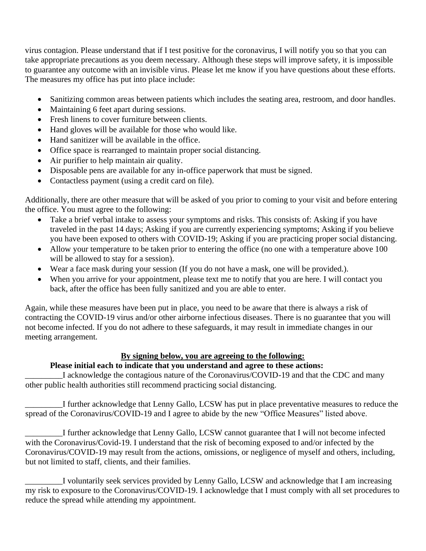virus contagion. Please understand that if I test positive for the coronavirus, I will notify you so that you can take appropriate precautions as you deem necessary. Although these steps will improve safety, it is impossible to guarantee any outcome with an invisible virus. Please let me know if you have questions about these efforts. The measures my office has put into place include:

- Sanitizing common areas between patients which includes the seating area, restroom, and door handles.
- Maintaining 6 feet apart during sessions.
- Fresh linens to cover furniture between clients.
- Hand gloves will be available for those who would like.
- Hand sanitizer will be available in the office.
- Office space is rearranged to maintain proper social distancing.
- Air purifier to help maintain air quality.
- Disposable pens are available for any in-office paperwork that must be signed.
- Contactless payment (using a credit card on file).

Additionally, there are other measure that will be asked of you prior to coming to your visit and before entering the office. You must agree to the following:

- Take a brief verbal intake to assess your symptoms and risks. This consists of: Asking if you have traveled in the past 14 days; Asking if you are currently experiencing symptoms; Asking if you believe you have been exposed to others with COVID-19; Asking if you are practicing proper social distancing.
- Allow your temperature to be taken prior to entering the office (no one with a temperature above 100 will be allowed to stay for a session).
- Wear a face mask during your session (If you do not have a mask, one will be provided.).
- When you arrive for your appointment, please text me to notify that you are here. I will contact you back, after the office has been fully sanitized and you are able to enter.

Again, while these measures have been put in place, you need to be aware that there is always a risk of contracting the COVID-19 virus and/or other airborne infectious diseases. There is no guarantee that you will not become infected. If you do not adhere to these safeguards, it may result in immediate changes in our meeting arrangement.

### **By signing below, you are agreeing to the following:**

## **Please initial each to indicate that you understand and agree to these actions:**

I acknowledge the contagious nature of the Coronavirus/COVID-19 and that the CDC and many other public health authorities still recommend practicing social distancing.

\_\_\_\_\_\_\_\_\_I further acknowledge that Lenny Gallo, LCSW has put in place preventative measures to reduce the spread of the Coronavirus/COVID-19 and I agree to abide by the new "Office Measures" listed above.

I further acknowledge that Lenny Gallo, LCSW cannot guarantee that I will not become infected with the Coronavirus/Covid-19. I understand that the risk of becoming exposed to and/or infected by the Coronavirus/COVID-19 may result from the actions, omissions, or negligence of myself and others, including, but not limited to staff, clients, and their families.

\_\_\_\_\_\_\_\_\_I voluntarily seek services provided by Lenny Gallo, LCSW and acknowledge that I am increasing my risk to exposure to the Coronavirus/COVID-19. I acknowledge that I must comply with all set procedures to reduce the spread while attending my appointment.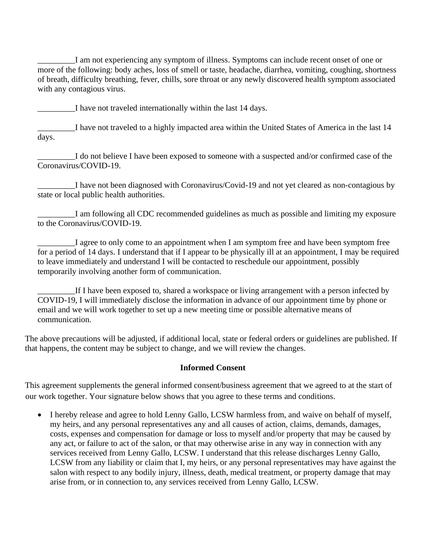\_\_\_\_\_\_\_\_\_I am not experiencing any symptom of illness. Symptoms can include recent onset of one or more of the following: body aches, loss of smell or taste, headache, diarrhea, vomiting, coughing, shortness of breath, difficulty breathing, fever, chills, sore throat or any newly discovered health symptom associated with any contagious virus.

I have not traveled internationally within the last 14 days.

I have not traveled to a highly impacted area within the United States of America in the last 14 days.

\_\_\_\_\_\_\_\_\_I do not believe I have been exposed to someone with a suspected and/or confirmed case of the Coronavirus/COVID-19.

\_\_\_\_\_\_\_\_\_I have not been diagnosed with Coronavirus/Covid-19 and not yet cleared as non-contagious by state or local public health authorities.

\_\_\_\_\_\_\_\_\_I am following all CDC recommended guidelines as much as possible and limiting my exposure to the Coronavirus/COVID-19.

I agree to only come to an appointment when I am symptom free and have been symptom free for a period of 14 days. I understand that if I appear to be physically ill at an appointment, I may be required to leave immediately and understand I will be contacted to reschedule our appointment, possibly temporarily involving another form of communication.

If I have been exposed to, shared a workspace or living arrangement with a person infected by COVID-19, I will immediately disclose the information in advance of our appointment time by phone or email and we will work together to set up a new meeting time or possible alternative means of communication.

The above precautions will be adjusted, if additional local, state or federal orders or guidelines are published. If that happens, the content may be subject to change, and we will review the changes.

### **Informed Consent**

This agreement supplements the general informed consent/business agreement that we agreed to at the start of our work together. Your signature below shows that you agree to these terms and conditions.

• I hereby release and agree to hold Lenny Gallo, LCSW harmless from, and waive on behalf of myself, my heirs, and any personal representatives any and all causes of action, claims, demands, damages, costs, expenses and compensation for damage or loss to myself and/or property that may be caused by any act, or failure to act of the salon, or that may otherwise arise in any way in connection with any services received from Lenny Gallo, LCSW. I understand that this release discharges Lenny Gallo, LCSW from any liability or claim that I, my heirs, or any personal representatives may have against the salon with respect to any bodily injury, illness, death, medical treatment, or property damage that may arise from, or in connection to, any services received from Lenny Gallo, LCSW.